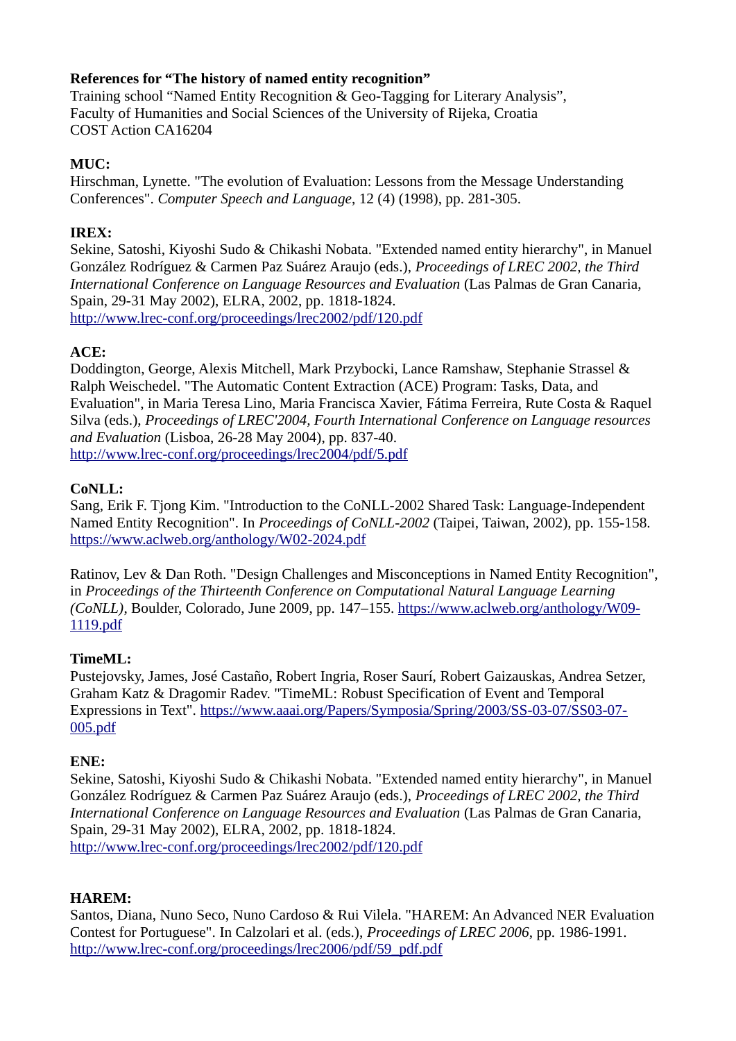# **References for "The history of named entity recognition"**

Training school "Named Entity Recognition & Geo-Tagging for Literary Analysis", Faculty of Humanities and Social Sciences of the University of Rijeka, Croatia COST Action CA16204

## **MUC:**

Hirschman, Lynette. "The evolution of Evaluation: Lessons from the Message Understanding Conferences". *Computer Speech and Language*, 12 (4) (1998), pp. 281-305.

## **IREX:**

Sekine, Satoshi, Kiyoshi Sudo & Chikashi Nobata. "Extended named entity hierarchy", in Manuel González Rodríguez & Carmen Paz Suárez Araujo (eds.), *Proceedings of LREC 2002, the Third International Conference on Language Resources and Evaluation* (Las Palmas de Gran Canaria, Spain, 29-31 May 2002), ELRA, 2002, pp. 1818-1824. <http://www.lrec-conf.org/proceedings/lrec2002/pdf/120.pdf>

#### **ACE:**

Doddington, George, Alexis Mitchell, Mark Przybocki, Lance Ramshaw, Stephanie Strassel & Ralph Weischedel. "The Automatic Content Extraction (ACE) Program: Tasks, Data, and Evaluation", in Maria Teresa Lino, Maria Francisca Xavier, Fátima Ferreira, Rute Costa & Raquel Silva (eds.), *Proceedings of LREC'2004, Fourth International Conference on Language resources and Evaluation* (Lisboa, 26-28 May 2004), pp. 837-40. <http://www.lrec-conf.org/proceedings/lrec2004/pdf/5.pdf>

# **CoNLL:**

Sang, Erik F. Tjong Kim. "Introduction to the CoNLL-2002 Shared Task: Language-Independent Named Entity Recognition". In *Proceedings of CoNLL-2002* (Taipei, Taiwan, 2002), pp. 155-158. <https://www.aclweb.org/anthology/W02-2024.pdf>

Ratinov, Lev & Dan Roth. "Design Challenges and Misconceptions in Named Entity Recognition", in *Proceedings of the Thirteenth Conference on Computational Natural Language Learning (CoNLL)*, Boulder, Colorado, June 2009, pp. 147–155. [https://www.aclweb.org/anthology/W09-](https://www.aclweb.org/anthology/W09-1119.pdf) [1119.pdf](https://www.aclweb.org/anthology/W09-1119.pdf)

# **TimeML:**

Pustejovsky, James, José Castaño, Robert Ingria, Roser Saurí, Robert Gaizauskas, Andrea Setzer, Graham Katz & Dragomir Radev. "TimeML: Robust Specification of Event and Temporal Expressions in Text". [https://www.aaai.org/Papers/Symposia/Spring/2003/SS-03-07/SS03-07-](https://www.aaai.org/Papers/Symposia/Spring/2003/SS-03-07/SS03-07-005.pdf) [005.pdf](https://www.aaai.org/Papers/Symposia/Spring/2003/SS-03-07/SS03-07-005.pdf)

#### **ENE:**

Sekine, Satoshi, Kiyoshi Sudo & Chikashi Nobata. "Extended named entity hierarchy", in Manuel González Rodríguez & Carmen Paz Suárez Araujo (eds.), *Proceedings of LREC 2002, the Third International Conference on Language Resources and Evaluation* (Las Palmas de Gran Canaria, Spain, 29-31 May 2002), ELRA, 2002, pp. 1818-1824. <http://www.lrec-conf.org/proceedings/lrec2002/pdf/120.pdf>

#### **HAREM:**

Santos, Diana, Nuno Seco, Nuno Cardoso & Rui Vilela. "HAREM: An Advanced NER Evaluation Contest for Portuguese". In Calzolari et al. (eds.), *Proceedings of LREC 2006*, pp. 1986-1991. [http://www.lrec-conf.org/proceedings/lrec2006/pdf/59\\_pdf.pdf](http://www.lrec-conf.org/proceedings/lrec2006/pdf/59_pdf.pdf)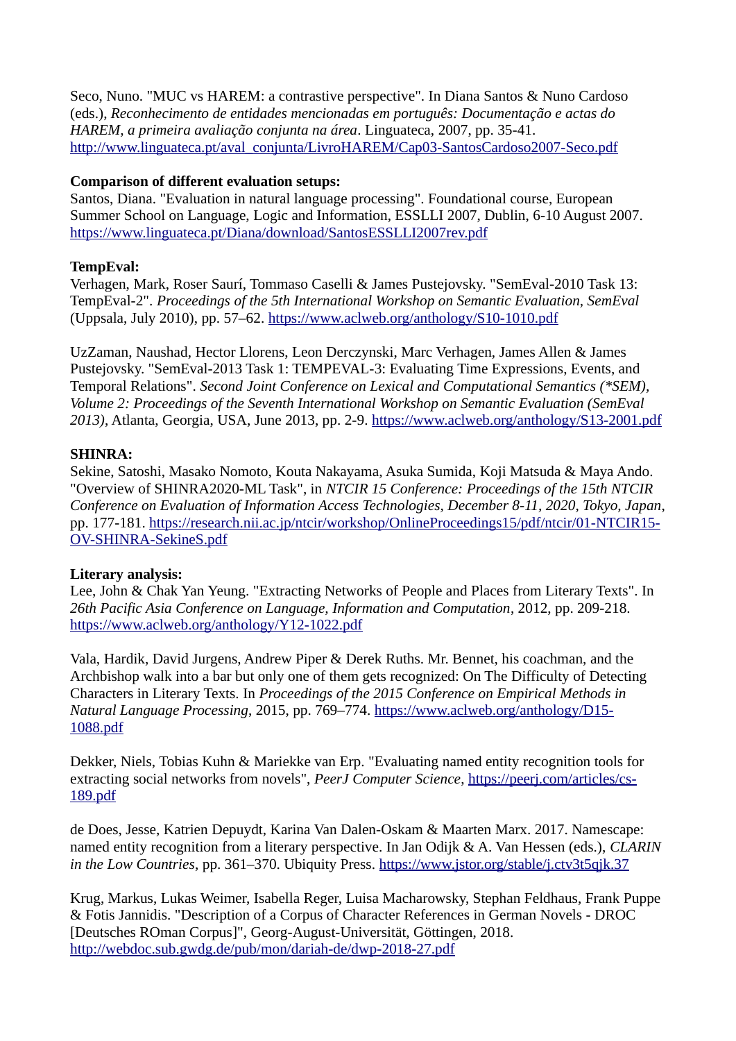Seco, Nuno. "MUC vs HAREM: a contrastive perspective". In Diana Santos & Nuno Cardoso (eds.), *Reconhecimento de entidades mencionadas em português: Documentação e actas do HAREM, a primeira avaliação conjunta na área*. Linguateca, 2007, pp. 35-41. [http://www.linguateca.pt/aval\\_conjunta/LivroHAREM/Cap03-SantosCardoso2007-Seco.pdf](http://www.linguateca.pt/aval_conjunta/LivroHAREM/Cap03-SantosCardoso2007-Seco.pdf)

## **Comparison of different evaluation setups:**

Santos, Diana. "Evaluation in natural language processing". Foundational course, European Summer School on Language, Logic and Information, ESSLLI 2007, Dublin, 6-10 August 2007. <https://www.linguateca.pt/Diana/download/SantosESSLLI2007rev.pdf>

# **TempEval:**

Verhagen, Mark, Roser Saurí, Tommaso Caselli & James Pustejovsky. "SemEval-2010 Task 13: TempEval-2". *Proceedings of the 5th International Workshop on Semantic Evaluation, SemEval* (Uppsala, July 2010), pp. 57–62.<https://www.aclweb.org/anthology/S10-1010.pdf>

UzZaman, Naushad, Hector Llorens, Leon Derczynski, Marc Verhagen, James Allen & James Pustejovsky. "SemEval-2013 Task 1: TEMPEVAL-3: Evaluating Time Expressions, Events, and Temporal Relations". *Second Joint Conference on Lexical and Computational Semantics (\*SEM), Volume 2: Proceedings of the Seventh International Workshop on Semantic Evaluation (SemEval 2013)*, Atlanta, Georgia, USA, June 2013, pp. 2-9. <https://www.aclweb.org/anthology/S13-2001.pdf>

# **SHINRA:**

Sekine, Satoshi, Masako Nomoto, Kouta Nakayama, Asuka Sumida, Koji Matsuda & Maya Ando. "Overview of SHINRA2020-ML Task", in *NTCIR 15 Conference: Proceedings of the 15th NTCIR Conference on Evaluation of Information Access Technologies, December 8-11, 2020, Tokyo, Japan*, pp. 177-181. [https://research.nii.ac.jp/ntcir/workshop/OnlineProceedings15/pdf/ntcir/01-NTCIR15-](https://research.nii.ac.jp/ntcir/workshop/OnlineProceedings15/pdf/ntcir/01-NTCIR15-OV-SHINRA-SekineS.pdf) [OV-SHINRA-SekineS.pdf](https://research.nii.ac.jp/ntcir/workshop/OnlineProceedings15/pdf/ntcir/01-NTCIR15-OV-SHINRA-SekineS.pdf)

#### **Literary analysis:**

Lee, John & Chak Yan Yeung. "Extracting Networks of People and Places from Literary Texts". In *26th Pacific Asia Conference on Language, Information and Computation*, 2012, pp. 209-218. <https://www.aclweb.org/anthology/Y12-1022.pdf>

Vala, Hardik, David Jurgens, Andrew Piper & Derek Ruths. Mr. Bennet, his coachman, and the Archbishop walk into a bar but only one of them gets recognized: On The Difficulty of Detecting Characters in Literary Texts. In *Proceedings of the 2015 Conference on Empirical Methods in Natural Language Processing*, 2015, pp. 769–774. [https://www.aclweb.org/anthology/D15-](https://www.aclweb.org/anthology/D15-1088.pdf) [1088.pdf](https://www.aclweb.org/anthology/D15-1088.pdf)

Dekker, Niels, Tobias Kuhn & Mariekke van Erp. "Evaluating named entity recognition tools for extracting social networks from novels", *PeerJ Computer Science*, [https://peerj.com/articles/cs-](https://peerj.com/articles/cs-189.pdf)[189.pdf](https://peerj.com/articles/cs-189.pdf)

de Does, Jesse, Katrien Depuydt, Karina Van Dalen-Oskam & Maarten Marx. 2017. Namescape: named entity recognition from a literary perspective. In Jan Odijk & A. Van Hessen (eds.), *CLARIN in the Low Countries*, pp. 361–370. Ubiquity Press. <https://www.jstor.org/stable/j.ctv3t5qjk.37>

Krug, Markus, Lukas Weimer, Isabella Reger, Luisa Macharowsky, Stephan Feldhaus, Frank Puppe & Fotis Jannidis. "Description of a Corpus of Character References in German Novels - DROC [Deutsches ROman Corpus]", Georg-August-Universität, Göttingen, 2018. <http://webdoc.sub.gwdg.de/pub/mon/dariah-de/dwp-2018-27.pdf>